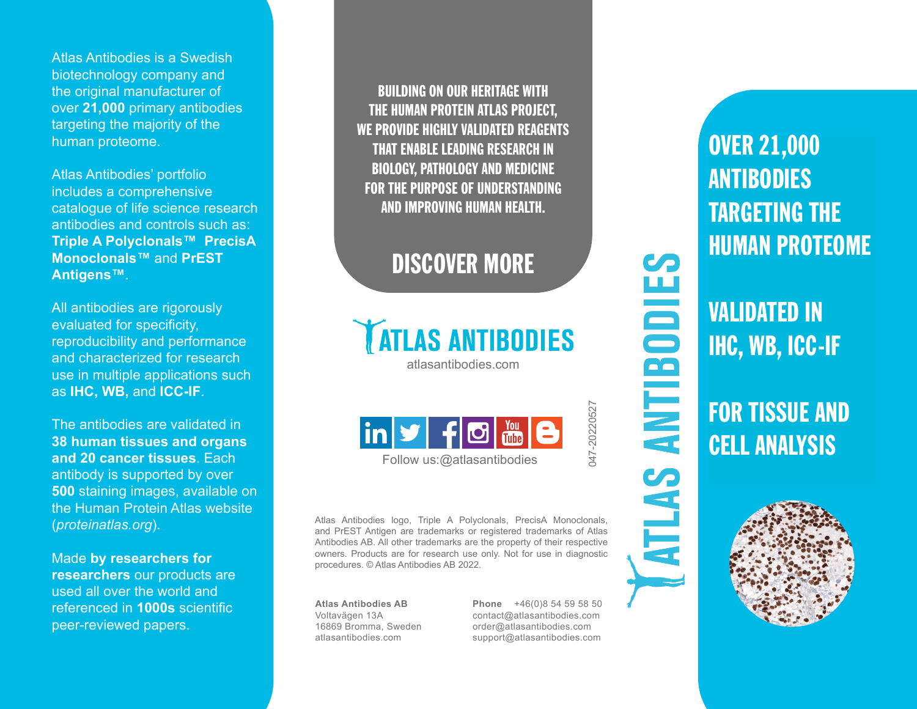Atlas Antibodies is a Swedish biotechnology company and the original manufacturer of over **21,000** primary antibodies targeting the majority of the human proteome.

Atlas Antibodies' portfolio includes a comprehensive catalogue of life science research antibodies and controls such as: **Triple A Polyclonals™ PrecisA Monoclonals™** and **PrEST Antigens™**.

All antibodies are rigorously evaluated for specificity, reproducibility and performance and characterized for research use in multiple applications such as **IHC, WB,** and **ICC-IF**.

The antibodies are validated in **38 human tissues and organs and 20 cancer tissues**. Each antibody is supported by over **500** staining images, available on the Human Protein Atlas website (*proteinatlas.org*).

Made **by researchers for researchers** our products are used all over the world and referenced in **1000s** scientific peer-reviewed papers.

BUILDING ON OUR HERITAGE WITH THE HUMAN PROTEIN ATLAS PROJECT, WE PROVIDE HIGHLY VALIDATED REAGENTS THAT ENABLE LEADING RESEARCH IN BIOLOGY, PATHOLOGY AND MEDICINE FOR THE PURPOSE OF UNDERSTANDING AND IMPROVING HUMAN HEALTH.

## DISCOVER MORE

**TATLAS ANTIBODIES** 

atlasantibodies.com



Follow us:@atlasantibodies

Atlas Antibodies logo, Triple A Polyclonals, PrecisA Monoclonals, and PrEST Antigen are trademarks or registered trademarks of Atlas Antibodies AB. All other trademarks are the property of their respective owners. Products are for research use only. Not for use in diagnostic procedures. © Atlas Antibodies AB 2022.

**Atlas Antibodies AB** Voltavägen 13A 16869 Bromma, Sweden atlasantibodies.com

**Phone** +46(0)8 54 59 58 50 contact@atlasantibodies.com order@atlasantibodies.com support@atlasantibodies.com

047-20220527

047-20220527

**ATLAS ANTIBODIE** 

OVER 21,000 **ANTIBODIES** TARGETING THE HUMAN PROTEOME

VALIDATED IN IHC, WB, ICC-IF

FOR TISSUE AND CELL ANALYSIS